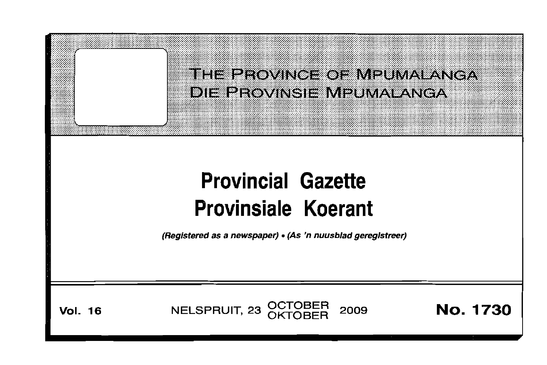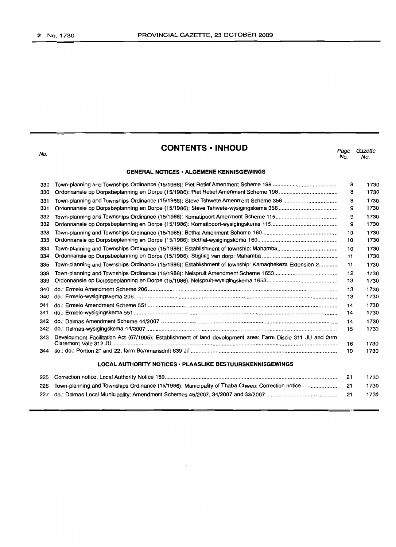| ۰. |  |
|----|--|

# **CONTENTS ·INHOUD**

#### **GENERAL NOTICES· ALGEMENE KENNISGEWINGS**

| 330 |                                                                                                             | 8  | 1730 |
|-----|-------------------------------------------------------------------------------------------------------------|----|------|
| 330 |                                                                                                             | 8  | 1730 |
| 331 |                                                                                                             | 8  | 1730 |
| 331 |                                                                                                             | 9  | 1730 |
| 332 |                                                                                                             | 9  | 1730 |
| 332 |                                                                                                             | 9  | 1730 |
| 333 |                                                                                                             | 10 | 1730 |
| 333 |                                                                                                             | 10 | 1730 |
| 334 |                                                                                                             | 10 | 1730 |
| 334 |                                                                                                             | 11 | 1730 |
| 335 | Town-planning and Townships Ordinance (15/1986): Establishment of township: Kamaqhekeza Extension 2         | 11 | 1730 |
| 339 |                                                                                                             | 12 | 1730 |
| 339 |                                                                                                             | 13 | 1730 |
| 340 |                                                                                                             | 13 | 1730 |
| 340 |                                                                                                             | 13 | 1730 |
| 341 |                                                                                                             | 14 | 1730 |
| 341 |                                                                                                             | 14 | 1730 |
| 342 |                                                                                                             | 14 | 1730 |
| 342 |                                                                                                             | 15 | 1730 |
| 343 | Development Facilitation Act (67/1995): Establishment of land development area: Farm Discie 311 JU and farm | 16 | 1730 |
| 344 |                                                                                                             | 19 | 1730 |
|     | <b>LOCAL AUTHORITY NOTICES · PLAASLIKE BESTUURSKENNISGEWINGS</b>                                            |    |      |
| 225 |                                                                                                             | 21 | 1730 |
| 226 | Town-planning and Townships Ordinance (15/1986): Municipality of Thaba Chweu: Correction notice             | 21 | 1730 |

227 do.: Delmas Local Municipality: Amendment Schemes 45/2007,34/2007 and 33/2007.............................................. 21 1730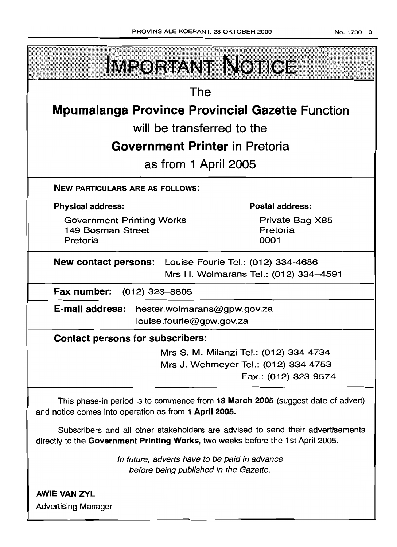|                                                         | <b>IMPORTANT NOTICE</b>                |  |  |  |
|---------------------------------------------------------|----------------------------------------|--|--|--|
|                                                         | The                                    |  |  |  |
| <b>Mpumalanga Province Provincial Gazette Function</b>  |                                        |  |  |  |
| will be transferred to the                              |                                        |  |  |  |
| <b>Government Printer</b> in Pretoria                   |                                        |  |  |  |
|                                                         | as from 1 April 2005                   |  |  |  |
| <b>NEW PARTICULARS ARE AS FOLLOWS:</b>                  |                                        |  |  |  |
| <b>Physical address:</b>                                | <b>Postal address:</b>                 |  |  |  |
| <b>Government Printing Works</b><br>149 Bosman Street   | Private Bag X85<br>Pretoria            |  |  |  |
| Pretoria                                                | 0001                                   |  |  |  |
| New contact persons: Louise Fourie Tel.: (012) 334-4686 |                                        |  |  |  |
|                                                         | Mrs H. Wolmarans Tel.: (012) 334-4591  |  |  |  |
| Fax number: (012) 323-8805                              |                                        |  |  |  |
| E-mail address: hester.wolmarans@gpw.gov.za             |                                        |  |  |  |
|                                                         | louise.fourie@gpw.gov.za               |  |  |  |
| <b>Contact persons for subscribers:</b>                 |                                        |  |  |  |
|                                                         | Mrs S. M. Milanzi Tel.: (012) 334-4734 |  |  |  |
|                                                         | Mrs J. Wehmeyer Tel.: (012) 334-4753   |  |  |  |

Fax.: (012) 323-9574

This phase-in period is to commence from 18 March 2005 (suggest date of advert) and notice comes into operation as from 1 April 2005.

Subscribers and all other stakeholders are advised to send their advertisements directly to the Government Printing Works, two weeks before the 1st April 2005.

> In future, adverts have to be paid in advance before being published in the Gazette.

AWIE VAN ZVL Advertising Manager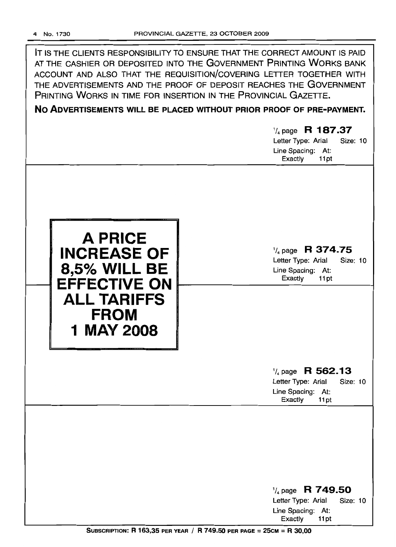IT IS THE CLIENTS RESPONSIBILITY TO ENSURE THAT THE CORRECT AMOUNT IS PAID AT THE CASHIER OR DEPOSITED INTO THE GOVERNMENT PRINTING WORKS BANK ACCOUNT AND ALSO THAT THE REQUISITION/COVERING LETTER TOGETHER WITH THE ADVERTISEMENTS AND THE PROOF OF DEPOSIT REACHES THE GOVERNMENT PRINTING WORKS IN TIME FOR INSERTION IN THE PROVINCIAL GAZETTE.

**No ADVERTISEMENTS WILL BE PLACED WITHOUT PRIOR PROOF OF PRE-PAYMENT.**

# *-t,* page R **187.37**

Letter Type: Arial Size: 10 Line Spacing: At: Exactly 11 pt



'/4 page **R 374.75**

Letter Type: Arial Size: 10 Line Spacing: At: Exactly 11 pt

# '/4 page **R 562.13**

Letter Type: Arial Size: 10 Line Spacing: At:<br>Exactly 11 pt Exactly

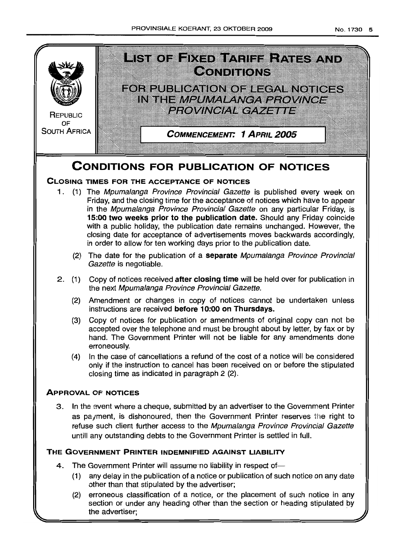

# **CONDITIONS FOR PUBLICATION OF NOTICES**

# **CLOSING TIMES FOR THE ACCEPTANCE OF NOTICES**

- 1. (1) The Mpumalanga Province Provincial Gazette is published every week on Friday, and the closing time for the acceptance of notices which have to appear in the Mpumalanga Province Provincial Gazette on any particular Friday, is **15:00 two weeks prior to the publication date.** Should any Friday coincide with a public holiday, the publication date remains unchanged. However, the closing date for acceptance of advertisements moves backwards accordingly, in order to allow for ten working days prior to the publication date.
	- (2) The date for the publication of a **separate** Mpumalanga Province Provincial Gazette is negotiable.
- 2 (1) Copy of notices received **after closing time** will be held over for publication in the next Mpumalanga Province Provincial Gazette.
	- (2) Amendment or changes in copy of notices cannot be undertaken unless instructions are received **before 10:00 on Thursdays.**
	- (3) Copy of notices for publication or amendments of original copy can not be accepted over the telephone and must be brought about by letter, by fax or by hand. The Government Printer will not be liable for any amendments done erroneously.
	- (4) In the case of cancellations a refund of the cost of a notice will be considered only if the instruction to cancel has been received on or before the stipulated closing time as indicated in paragraph 2 (2)

# **ApPROVAL OF NOTICES**

3 In the event where a cheque, submitted by an advertiser to the Government Printer as payment, is dishonoured, then the Government Printer reserves the right to refuse such client further access to the Mpumalanga Province Provincial Gazette untill any outstanding debts to the Government Printer is settled in full

# **THE GOVERNMENT PRINTER INDEMNIFIED AGAINST LIABILITY**

- 4. The Government Printer will assume no liability in respect of-
	- (1) any delay in the publication of a notice or publication of such notice on any date other than that stipulated by the advertiser;
	- (2) erroneous classification of a notice, or the placement of such notice in any section or under any heading other than the section or heading stipulated by the advertiser: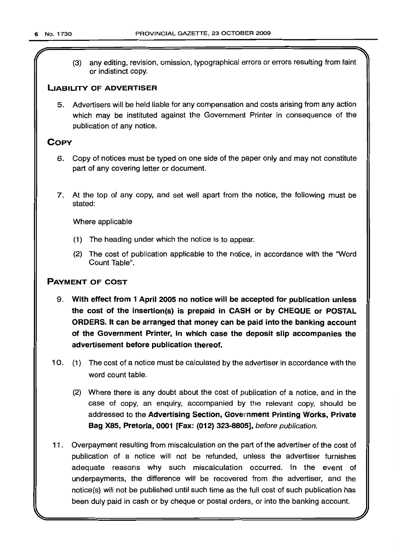(3) any editing, revision, omission, typographical errors or errors resulting from faint or indistinct copy.

# LIABILITY OF ADVERTISER

5. Advertisers will be held liable for any compensation and costs arising from any action which may be instituted against the Government Printer in consequence of the publication of any notice.

# **COPY**

- 6. Copy of notices must be typed on one side of the paper only and may not constitute part of any covering letter or document.
- 7. At the top of any copy, and set well apart from the notice, the following must be stated:

Where applicable

- (1) The heading under which the notice is to appear.
- (2) The cost of publication applicable to the notice, in accordance with the 'Word Count Table".

# PAYMENT OF COST

- 9. With effect from 1 April 2005 no notice will be accepted for publication unless the cost of the insertion(s) is prepaid in CASH or by CHEQUE or POSTAL ORDERS. It can be arranged that money can be paid into the banking account of the Government Printer, in which case the deposit slip accompanies the advertisement before publication thereof.
- 10. (1) The cost of a notice must be calculated by the advertiser in accordance with the word count table.
	- (2) Where there is any doubt about the cost of publication of a notice, and in the case of copy, an enquiry, accompanied by the relevant copy, should be addressed to the Advertising Section, Govemment Printing Works, Private Bag X85, Pretoria, 0001 [Fax: (012) 323-8805], before publication.
- 11 . Overpayment resulting from miscalculation on the part of the advertiser of the cost of publication of a notice will not be refunded, unless the advertiser furnishes adequate reasons why such miscalculation occurred. In the event of underpayments, the difference will be recovered from the advertiser, and the notice(s) will not be published until such time as the full cost of such publication has been duly paid in cash or by cheque or postal orders, or into the banking account.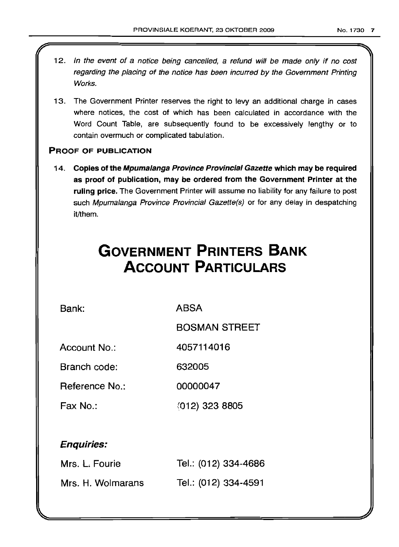- 12. In the event of a notice being cancelled, a refund will be made only if no cost regarding the placing of the notice has been incurred by the Government Printing Works.
- 13. The Government Printer reserves the right to levy an additional charge in cases where notices, the cost of which has been calculated in accordance with the Word Count Table, are subsequently found to be excessively lengthy or to contain overmuch or complicated tabulation.

# PROOF OF PUBLICATION

14. Copies of the Mpumalanga Province Provincial Gazette which may be required as proof of publication, may be ordered from the Government Printer at the ruling price. The Government Printer will assume no liability for any failure to post such Mpumalanga Province Provincial Gazette(s) or for any delay in despatching it/them.

# **GOVERNMENT PRINTERS BANK ACCOUNT PARTICULARS**

Bank:

ABSA

BOSMAN STREET

Account No.: 4057114016

Branch code: 632005

Reference No.: 00000047

Fax No.: t012) 323 8805

# Enquiries:

| Mrs. L. Fourie    | Tel.: (012) 334-4686 |
|-------------------|----------------------|
| Mrs. H. Wolmarans | Tel.: (012) 334-4591 |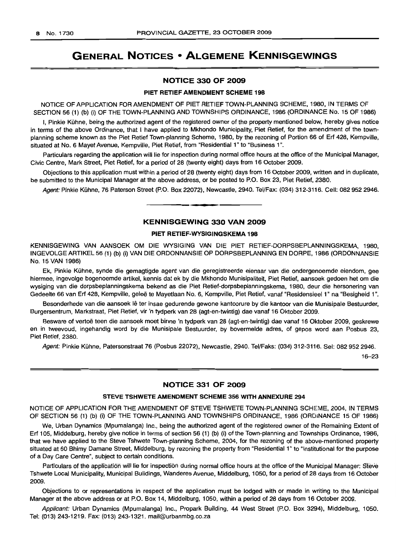# GENERAL NOTICES • ALGEMENE KENNISGEWINGS

#### NOTICE 330 OF 2009

#### PIET RETIEF AMENDMENT SCHEME 198

NOTICE OF APPLICATION FOR AMENDMENT OF PIET RETIEF TOWN-PLANNING SCHEME, 1980, IN TERMS OF SECTION 56 (1) (b) (i) OF THE TOWN-PLANNING AND TOWNSHIPS ORDINANCE, 1986 (ORDINANCE No. 15 OF 1986)

I, Pinkie Kuhne, being the authorized agent of the registered owner of the property mentioned below, hereby gives notice in terms of the above Ordinance, that I have applied to Mkhondo Municipality, Piet Retief, for the amendment of the townplanning scheme known as the Piet Retief Town-planning Scheme, 1980, by the rezoning of Portion 66 of Erf 428, Kempville, situated at No.6 Mayet Avenue, Kempville, Piet Retief, from "Residential 1" to "Business 1".

Particulars regarding the application will lie for inspection during normal office hours at the office of the Municipal Manager, Civic Centre, Mark Street, Piet Retief, for a period of 28 (twenty eight) days from 16 October 2009.

Objections to this application must within a period of 28 (twenty eight) days from 16 October 2009, written and in duplicate, be submitted to the Municipal Manager at the above address, or be posted to P.O. Box 23, Piet Retief, 2380.

Agent: Pinkie Kuhne, 76 Paterson Street (P.O. Box 22072), Newcastle, 2940. Tel/Fax: (034) 312-3116. Cell: 0829522946. **.-**

#### KENNISGEWING 330 VAN 2009

## PIET RETIEF-WYSIGINGSKEMA 198

KENNISGEWING VAN AANSOEK OM DIE WYSIGING VAN DIE PIET RETIEF-DORPSBEPLANNINGSKEMA, 1980, INGEVOLGEARTIKEL56 (1) (b) (i) VAN DIE ORDONNANSIE OP DORPSBEPLANNING EN DORPE, 1986 (ORDONNANSIE No. 15 VAN 1986)

Ek, Pinkie Kuhne, synde die gemagtigde agent van die geregistreerde eienaar van die ondergenoemde eiendom, gee hiermee, ingevolge bogenoemde artikel, kennis dat ek by die Mkhondo Munisipaliteit, Piet Retief, aansoek gedoen het om die wysiging van die dorpsbeplanningskema bekend as die Piet Retief-dorpsbeplanningskema, 1980, deur die hersonering van Gedeelte 66 van Erf 428, Kempville, geleë te Mayetlaan No. 6, Kempville, Piet Retief, vanaf "Residensieel 1" na "Besigheid 1".

Besonderhede van die aansoek lê ter insae gedurende gewone kantoorure by die kantoor van die Munisipale Bestuurder, Burgersentrum, Markstraat, Piet Retief, vir 'n tydperk van 28 (agt-en-twintig) dae vanaf 16 Oktober 2009.

Besware of vertoë teen die aansoek moet binne 'n tydperk van 28 (agt-en-twintig) dae vanaf 16 Oktober 2009, geskrewe en in tweevoud, ingehandig word by die Munisipale Bestuurder, by bovermelde adres, of gepos word aan Posbus 23, Piet Retief, 2380.

Agent: Pinkie Kuhne, Patersonstraat 76 (Posbus 22072), Newcastle, 2940. Tel/Faks: (034) 312-3116. Sel: 0829522946.

16-23

## NOTICE 331 OF 2009

#### STEVE TSHWETE AMENDMENT SCHEME 356 WITH ANNEXURE 294

NOTICE OF APPLICATION FOR THE AMENDMENT OF STEVE TSHWETE TOWN-PLANNING SCHEME, 2004, IN TERMS OF SECTION 56 (1) (b) (i) OF THE TOWN-PLANNING AND TOWNSHIPS ORDINANCE, 1986 (ORDINANCE 15 OF 1986)

We, Urban Dynamics (Mpumalanga) Inc., being the authorized agent of the registered owner of the Remaining Extent of Erf 105, Middelburg, hereby give notice in terms of section 56 (1) (b) (i) of the Town-planning and Townships Ordinance, 1986, that we have applied to the Steve Tshwete Town-planning Scheme, 2004, for the rezoning of the above-mentioned property situated at 60 Bhimy Damane Street, Middelburg, by rezoning the property from "Residential 1" to "Institutional for the purpose of a Day Care Centre", subject to certain conditions.

Particulars of the application will lie for inspection during normal office hours at the office of the Municipal Manager: Steve Tshwete Local Municipality, Municipal Buildings, Wanderes Avenue, Middelburg, 1050, for a period of 28 days from 16 October 2009.

Objections to or representations in respect of the application must be lodged with or made in writing to the Municipal Manager at the above address or at P.O. Box 14, Middelburg, 1050, within a period of 28 days from 16 October 2009.

Applicant: Urban Dynamics (Mpumalanga) Inc., Propark Building, 44 West Street (P.O. Box 3294), Middelburg, 1050. Tel: (013) 243-1219. Fax: (013) 243-1321. mail@urbanmbg.co.za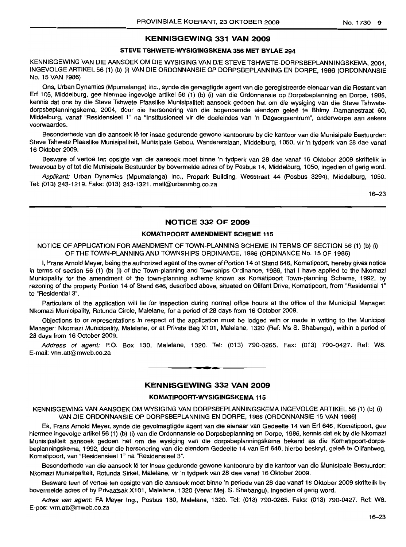# KENNISGEWING 331 VAN 2009

## STEVE TSHWETE-WYSIGINGSKEMA 356 MET BYLAE 294

KENNISGEWING VAN DIE AANSOEK OM DIE WYSIGING VAN DIE STEVE TSHWETE-DORPSBEPLANNINGSKEMA, 2004, INGEVOLGEARTIKEL56 (1) (b) (i) VAN DIE ORDONNANSIE OP DORPSBEPLANNING EN DORPE, 1986 (ORDONNANSIE No. 15 VAN 1986)

Ons, Urban Dynamics (Mpumalanga) Inc., synde die gemagtigde agent van die geregistreerde eienaar van die Restant van Erf 105, Middelburg, gee hiermee ingevolge artikel 56 (1) (b) (i) van die Ordonnansie op Dorpsbeplanning en Dorpe, 1986, kennis dat ons by die Steve Tshwete Plaaslike Munisipaliteit aansoek gedoen het om die wysiging van die Steve Tshwetedorpsbeplanningskema, 2004, deur die hersonering van die bogenoemde eiendom geleë te Bhimy Damanestraat 60, Middelburg, vanaf "Residensieel 1" na "Institusioneel vir die doeleindes van 'n Dagsorgsentrum", onderworpe aan sekere voorwaardes.

Besonderhede van die aansoek lê ter insae gedurende gewone kantoorure by die kantoor van die Munisipale Bestuurder: Steve Tshwete Plaaslike Munisipaliteit, Munisipale Gebou, Wandererslaan, Middelburg, 1050, vir 'n tydperk van 28 dae vanaf 16 Oktober 2009.

Besware of vertoë ten opsigte van die aansoek moet binne 'n tydperk van 28 dae vanaf 16 Oktober 2009 skriftelik in tweevoud by of tot die Munisipale Bestuurder by bovermelde adres of by Posbus 14, Middelburg, 1050, ingedien of gerig word.

Applikant: Urban Dynamics (Mpumalanga) Inc., Propark Building, Wesstraat 44 (Posbus 3294), Middelburg, 1050. Tel: (013) 243-1219. Faks: (013) 243-1321. mail@urbanmbg.co.za

16-23

# NOTICE 332 OF 2009

#### KOMATIPOORT AMENDMENT SCHEME 115

NOTICE OF APPLICATION FOR AMENDMENT OF TOWN-PLANNING SCHEME IN TERMS OF SECTION 56 (1) (b) (i) OF THE TOWN-PLANNING AND TOWNSHIPS ORDINANCE, 1986 (ORDINANCE No. 15 OF 1986)

I, Frans Arnold Meyer, being the authorized agent of the owner of Portion 14 of Stand 646, Komatipoort, hereby gives notice in terms of section 56 (1) (b) (i) of the Town-planning and Townships Ordinance, 1986, that I have applied to the Nkomazi Municipality for the amendment of the town-planning scheme known as Komatipoort Town-planning Scheme, 1992, by rezoning of the property Portion 14 of Stand 646, described above, situated on Olifant Drive, Komatipoort, from "Residential 1" to "Residential 3".

Particulars of the application will lie for inspection during normal office hours at the office of the Municipal Manager: Nkomazi Municipality, Rotunda Circle, Malelane, for a period of 28 days from 16 October 2009.

Objections to or representations in respect of the application must be lodged with or made in writing to the Municipal Manager: Nkomazi Municipality, Malelane, or at Private Bag Xl 01, Malelane, 1320 (Ref: Ms S. Shabangu), within a period of 28 days from 16 October 2009.

Address of agent: P.O. Box 130, Malelane, 1320. Tel: (013) 790-0265. Fax: (013) 790-0427. Ref: W8. E-mail: vrm.att@mweb.co.za

# KENNISGEWING 332 VAN 2009

**•**

### KOMATIPOORT-WYSIGINGSKEMA 115

KENNISGEWING VAN AANSOEK OM WYSIGING VAN DORPSBEPLANNINGSKEMA INGEVOLGE ARTIKEL 56 (1) (b) (i) VAN DIE ORDONNANSIE OP DORPSBEPLANNING EN DORPE, 1986 (ORDONNANSIE 15 VAN 1986)

Ek, Frans Arnold Meyer, synde die gevolmagtigde agent van die eienaar van Gedeelte 14 van Erf 646, Komatipoort, gee hiermee ingevolge artikel 56 (1) (b) (i) van die Ordonnansie op Dorpsbeplanning en Dorpe, 1986, kennis dat ek by die Nkomazi Munisipaliteit aansoek gedoen het om die wysiging van die dorpsbeplanningskema bekend as die Komatipoort-dorpsbeplanningskema, 1992, deur die hersonering van die eiendom Gedeelte 14 van Erf 646, hierbo beskryf, geleë te Olifantweg, Komatipoort, van "Residensieel 1" na "Residensieel 3".

Besonderhede van die aansoek lê ter insae gedurende gewone kantoorure by die kantoor van die Munisipale Bestuurder: Nkomazi Munisipaliteit, Rotunda Sirkel, Malelane, vir 'n tydperk van 28 dae vanaf 16 Oktober 2009.

Besware teen of vertoë ten opsigte van die aansoek moet binne 'n periode van 28 dae vanaf 16 Oktober 2009 skriftelik by bovermelde adres of by Privaatsak Xl 01, Malelane, 1320 (Verw: Mej. S. Shabangu), ingedien of gerig word.

Adres van agent: FA Meyer Ing., Posbus 130, Malelane, 1320. Tel: (013) 790-0265. Faks: (013) 790-0427. Ref: W8. E-pos: vrm.att@mweb.co.za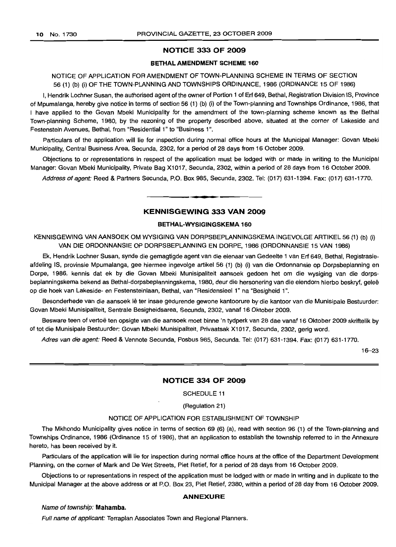# **NOTICE 333 OF 2009**

#### **BETHALAMENDMENT SCHEME 160**

# NOTICE OF APPLICATION FOR AMENDMENT OF TOWN-PLANNING SCHEME IN TERMS OF SECTION 56 (1) (b) (i) OF THE TOWN-PLANNING AND TOWNSHIPS ORDINANCE, 1986 (ORDINANCE 15 OF 1986)

I. Hendrik Lochner Susan, the authorised agent of the owner of Portion 1 of Erf 649, Bethal, Registration Division IS, Province of Mpumalanga, hereby give notice in terms of section 56 (1) (b) (i) of the Town-planning and Townships Ordinance, 1986, that I have applied to the Govan Mbeki Municipality for the amendment of the town-planning scheme known as the Bethal Town-planning Scheme, 1980, by the rezoning of the property described above, situated at the corner of Lakeside and Festenstein Avenues, Bethal, from "Residential 1" to "Business 1".

Particulars of the application will lie for inspection during normal office hours at the Municipal Manager: Govan Mbeki Municipality, Central Business Area, Secunda, 2302, for a period of 28 days from 16 October 2009.

Objections to or representations in respect of the application must be lodged with or made in writing to the Municipal Manager: Govan Mbeki Municipality, Private Bag Xl 017, Secunda, 2302, within a period of 28 days from 16 October 2009.

Address of agent: Reed & Partners Secunda, P.O. Box 985, Secunda, 2302. Tel: (017) 631-1394. Fax: (017) 631-1770.

## **KENNISGEWING 333 VAN 2009**

**1\_**

#### **BETHAL-WYSIGINGSKEMA 160**

KENNISGEWING VAN AANSOEK OM WYSIGING VAN DORPSBEPLANNINGSKEMA INGEVOLGE ARTIKEL 56 (1) (b) (i) VAN DIE ORDONNANSIE OP DORPSBEPLANNING EN DORPE, 1986 (ORDONNANSIE 15 VAN 1986)

Ek, Hendrik Lochner Susan, synde die gemagtigde agent van die eienaar van Gedeelte 1 van Erf 649, Bethal, Registrasieafdeling IS, provinsie Mpumalanga, gee hiermee ingevolge artikel 56 (1) (b) (i) van die Ordonnansie op Dorpsbeplanning en Dorpe, 1986, kennis dat ek by die Govan Mbeki Munisipaliteit aansoek gedoen het om die wysiging van die dorpsbeplanningskema bekend as Bethal-dorpsbeplanningskema, 1980, deur die hersonering van die eiendom hierbo beskryf, gelee op die hoek van Lakeside- en Festensteinlaan, Bethal, van "Residensieel 1" na "Besigheid 1",

Besonderhede van die aansoek lê ter insae gedurende gewone kantoorure by die kantoor van die Munisipale Bestuurder: Govan Mbeki Munisipaliteit, Sentrale Besigheidsarea, Secunda, 2302, vanaf 16 Oktober 2009.

Besware teen of vertoë ten opsigte van die aansoek moet binne 'n tydperk van 28 dae vanaf 16 Oktober 2009 skriftelik by of tot die Munisipale Bestuurder: Govan Mbeki Munisipaliteit, Privaatsak Xl 017, Secunda, 2302, gerig word.

Adres van die agent: Reed & Vennote Secunda, Posbus 985, Secunda. Tel: (017) 631-1394. Fax: (017) 631-1770.

16-23

#### **NOTICE 334 OF 2009**

SCHEDULE 11

(Regulation 21)

## NOTICE OF APPLICATION FOR ESTABLISHMENT OF TOWNSHIP

The Mkhondo Municipality gives notice in terms of section 69 (6) (a), read with section 96 (1) of the Town-planning and Townships Ordinance, 1986 (Ordinance 15 of 1986), that an application to establish the township referred to in the Annexure hereto, has been received by it.

Particulars of the application will lie for inspection during normal office hours at the office of the Department Development Planning, on the corner-of Mark and De Wet Streets, Piet Retief, for a period of 28 days from 16 October 2009.

Objections to or representations in respect of the application must be lodged with or made in writing and in duplicate to the Municipal Manager at the above address or at P.O. Box 23, Piet Retief, 2380, within a period of 28 day from 16 October 2009.

#### **ANNEXURE**

## Name of township: **Mahamba.**

Full name of applicant: Terraplan Associates Town and Regional Planners.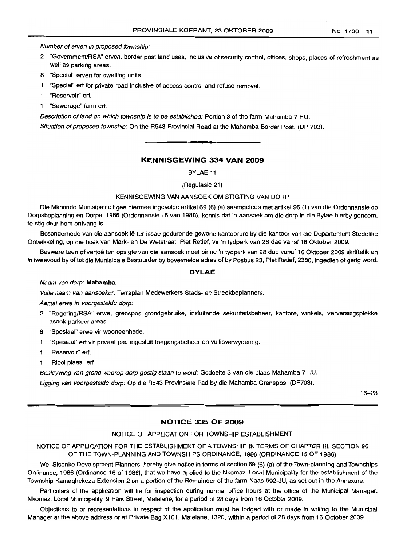Number of erven in proposed township:

- 2 "Government/RSA" erven, border post land uses, inclusive of security control, offices, shops, places of refreshment as well as parking areas.
- 8 "Special" erven for dwelling units.
- 1 "Special" erf for private road inclusive of access control and refuse removal.
- 1 "Reservoir" ert.
- 1 "Sewerage" farm ert.

Description of land on which township is to be established: Portion 3 of the farm Mahamba 7 HU. Situation of proposed township: On the R543 Provincial Road at the Mahamba Border Post. (DP 703).

# **KENNISGEWING 334 VAN 2009**

**•**

BYLAE 11

(Regulasie 21)

#### KENNISGEWING VAN AANSOEK OM STIGTING VAN DORP

Die Mkhondo Munisipaliteit gee hiermee ingevolge artikel 69 (6) (a) saamgelees met artikel 96 (1) van die Ordonnansie op Dorpsbeplanning en Dorpe, 1986 (Ordonnansie 15 van 1986), kennis dat 'n aansoek om die dorp in die Bylae hierby genoem, te stig deur hom ontvang is.

Besonderhede van die aansoek lê ter insae gedurende gewone kantoorure by die kantoor van die Departement Stedelike Ontwikkeling, op die hoek van Mark- en De Wetstraat, Piet Retief, vir 'n tydperk van 28 dae vanaf 16 Oktober 2009.

Besware teen of vertoë ten opsigte van die aansoek moet binne 'n tydperk van 28 dae vanaf 16 Oktober 2009 skriftelik en in tweevoud by of tot die Munisipale Bestuurder by bovermelde adres of by Posbus 23, Piet Retief, 2380, ingedien of gerig word.

# **BYLAE**

#### Naam van dorp: **Mahamba.**

Volle naam van aansoeker: Terraplan Medewerkers Stads- en Streekbeplanners.

Aantal erwe in voorgestelde dorp:

- 2 "Regering/RSA" erwe, grenspos grondgebruike, insluitende sekuriteitsbeheer, kantore, winkels, verversingsplekke asook parkeer areas.
- 8 "Spesiaal" erwe vir wooneenhede.
- 1 "Spesiaal" ert vir privaat pad ingesluit toegangsbeheer en vullisverwydering.
- 1 "Reservoir" erf.
- "Riool plaas" ert.

Beskrywing van grond waarop dorp gestig staan te word: Gedeelte 3 van die plaas Mahamba 7 HU.

Ligging van voorgestelde dorp: Op die R543 Provinsiale Pad by die Mahamba Grenspos. (DP703).

16-23

#### **NOTICE 335 OF 2009**

#### NOTICE OF APPLICATION FOR TOWNSHIP ESTABLISHMENT

NOTICE OF APPLICATION FOR THE ESTABLISHMENT OF A TOWNSHIP IN TERMS OF CHAPTER III, SECTION 96 OF THE TOWN-PLANNING AND TOWNSHIPS ORDINANCE, 1986 (ORDINANCE 15 OF 1986)

We, Sisonke Development Planners, hereby give notice in terms of section 69 (6) (a) of the Town-planning and Townships Ordinance, 1986 (Ordinance 15 of 1986), that we have applied to the Nkomazi Local Municipality for the establishment of the Township Kamaqhekeza Extension 2 on a portion of the Remainder of the farm Naas 592-JU, as set out in the Annexure.

Particulars of the application will lie for inspection during normal office hours at the office of the Municipal Manager: Nkomazi Local Municipality, 9 Park Street, Malelane, for a period of 28 days from 16 October 2009.

Objections to or representations in respect of the application must be lodged with or made in writing to the Municipal Manager at the above address or at Private Bag X101, Malelane, 1320, within a period of 28 days from 16 October 2009.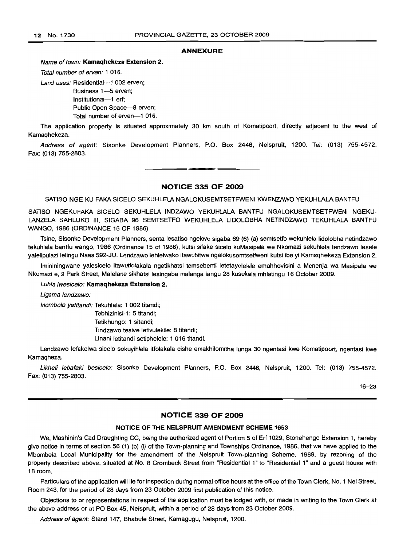#### ANNEXURE

#### Name of town: Kamaqhekeza Extension 2.

Total number of erven: 1 016.

Land uses: Residential-1 002 erven:

Business 1-5 erven; Institutional-1 erf; Public Open Space-8 erven; Total number of erven-1 016.

The application property is situated approximately 30 km south of Komatipoort, directly adjacent to the west of Kamaqhekeza.

Address of agent: Sisonke Development Planners, P.O. Box 2446, Nelspruit, 1200. Tel: (013) 755-4572. Fax: (013) 755-2803.

# NOTICE 335 OF 2009

**• •**

SATISO NGE KU FAKA SICELO SEKUHLELA NGALOKUSEMTSETFWENI KWENZAWO YEKUHLALA BANTFU

SATISO NGEKUFAKA SICELO SEKUHLELA INDZAWO YEKUHLALA BANTFU NGALOKUSEMTSETFWENI NGEKU-LANZELA SAHLUKO III, SIGABA 96 SEMTSETFO WEKUHLELA L1DOLOBHA NETINDZAWO TEKUHLALA BANTFU WANGO, 1986 (ORDINANCE 15 OF 1986)

Tsine, Sisonke Development Planners, senta lesatiso ngekwe sigaba 69 (6) (a) semtsetfo wekuhlela Iidolobha netindzawo tekuhlala bantfu wango, 1986 (Ordinance 15 of 1986), kutsi sifake sicelo kuMasipala we Nkomazi sekuhlela lendzawo lesele yalelipulazi lelingu Naas 592-JU. Lendzawo lehlelwako itawubitwa ngalokusemtsetfweni kutsi ibe yi Kamaqhekeza Extension 2.

Imininingwane yalesicelo itawutfolakala ngetikhatsi temsebenti letetayelekile emahhovisini a Menenja wa Masipala we Nkomazi e, 9 Park Street, Malelane sikhatsi lesingaba malanga langu 28 kusukela mhlatingu 16 October 2009.

#### Luhla Iwesicelo: Kamaqhekeza Extension 2.

Ligama lendzawo:

Inombolo yetitandi: Tekuhlala: 1 002 titandi;

Tebhizinisi-1 : 5 titandi; Tetikhungo: 1 sitandi; Tindzawo tesive letivulekile: 8 titandi; Linani letitandi setiphelele: 1 016 titandi.

Lendzawo lefakelwa sicelo sekuyihlela itfolakala cishe emakhilomitha lunga 30 ngentasi kwe Komatipoort, ngentasi kwe Kamaqheza.

Likheli lebafaki besicelo: Sisonke Development Planners, P.O. Box 2446, Nelspruit, 1200. Tel: (013) 755-4572. Fax: (013) 755-2803.

16-23

# NOTICE 339 OF 2009

#### NOTICE OF THE NELSPRUIT AMENDMENT SCHEME 1653

We, Mashinin's Cad Draughting CC, being the authorized agent of Portion 5 of Ert 1029, Stonehenge Extension 1, hereby give notice in terms of section 56 (1) (b) (i) of the Town-planning and Townships Ordinance, 1986, that we have applied to the Mbombela Local Municipality for the amendment of the Nelspruit Town-planning Scheme, 1989, by rezoning of the property described above, situated at No. 8 Crombeck Street from "Residential 1" to "Residential 1" and a guest house with 18 room.

Particulars of the application will lie for inspection during normal office hours at the office of the Town Clerk, No. 1 Nel Street, Room 243, for the period of 28 days from 23 October 2009 first publication of this notice.

Objections to or representations in respect of the application must be lodged with, or made in writing to the Town Clerk at the above address or at PO Box 45, Nelspruit, within a period of 28 days from 23 October 2009.

Address of agent: Stand 147, Bhabule Street, Kamagugu, Nelspruit, 1200.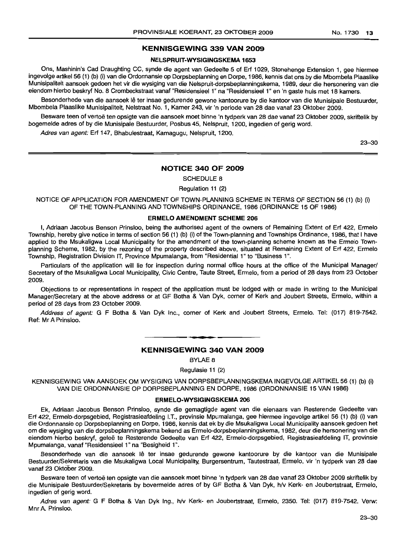# **KENNISGEWING 339 VAN 2009**

# **NELSPRUIT-WYSIGINGSKEMA 1653**

Ons, Mashinin's Cad Draughting CC, synde die agent van Gedeelte 5 of Erf 1029, Stonehenge Extension 1, gee hiermee ingevolge artikel 56 (1) (b) (i) van die Ordonnansie op Dorpsbeplanning en Dorpe, 1986, kennis dat ons by die Mbombela Plaaslike Munisipaliteit aansoek gedoen het vir die wysiging van die Nelspruit-dorpsbeplanningskema, 1989, deur die hersonering van die eiendom hierbo beskryf No. 8 Crombeckstraat vanaf "Residensieel 1" na "Residensieel 1" en 'n gaste huis met 18 kamers.

Besonderhede van die aansoek lê ter insae gedurende gewone kantoorure by die kantoor van die Munisipale Bestuurder, Mbombela Plaaslike Munisipaliteit, Nelstraat No.1, Kamer 243, vir 'n periode van 28 dae vanaf 23 Oktober 2009.

Besware teen of vertoë ten opsigte van die aansoek moet binne 'n tydperk van 28 dae vanaf 23 Oktober 2009, skriftelik by bogemelde adres of by die Munisipale Bestuurder, Posbus 45, Nelspruit, 1200, ingedien of gerig word.

Adres van agent: Erf 147, Bhabulestraat, Kamagugu, Nelspruit, 1200.

23-30

## **NOTICE 340 OF 2009**

SCHEDULE 8

Regulation 11 (2)

NOTICE OF APPLICATION FOR AMENDMENT OF TOWN-PLANNING SCHEME IN TERMS OF SECTION 56 (1) (b) (i) OF THE TOWN-PLANNING AND TOWNSHIPS ORDINANCE, 1986 (ORDINANCE 15 OF 1986)

#### **ERMELO AMENDMENT SCHEME 206**

I, Adriaan Jacobus Benson Prinsloo, being the authorised agent of the owners of Remaining Extent of Erf 422, Ermelo Township, hereby give notice in terms of section 56 (1) (b) (i) of the Town-planning and Townships Ordinance, 1986, that I have applied to the Msukaligwa Local Municipality for the amendment of the town-planning scheme known as the Ermelo Townplanning Scheme, 1982, by the rezoning of the property described above, situated at Remaining Extent of Erf 422, Ermelo Township, Registration Division IT, Province Mpumalanga, from "Residential 1" to "Business 1".

Particulars of the application will lie for inspection during normal office hours at the office of the Municipal Manager/ Secretary of the Msukaligwa Local Municipality, Civic Centre, Taute Street, Ermelo, from a period of 28 days from 23 October 2009.

Objections to or representations in respect of the application must be lodged with or made in writing to the Municipal Manager/Secretary at the above address or at GF Botha & Van Dyk, corner of Kerk and Joubert Streets, Ermelo, within a period of 28 days from 23 October 2009.

Address of agent: G F Botha & Van Dyk Inc., corner of Kerk and Joubert Streets, Ermelo. Tel: (017) 819-7542. Ref: Mr A Prinsloo.

## **KENNISGEWING 340 VAN 2009**

**• I**

BYLAE 8

Regulasie 11 (2)

KENNISGEWING VAN AANSOEK OM WYSIGING VAN DORPSBEPLANNINGSKEMA INGEVOLGE ARTIKEL 56 (1) (b) (i) VAN DIE ORDONNANSIE OP DORPSBEPLANNING EN DORPE, 1986 (ORDONNANSIE 15 VAN 1986)

#### **ERMELO-WYSIGINGSKEMA 206**

Ek, Adriaan Jacobus Benson Prinsloo, synde die gemagtigde agent van die eienaars van Resterende Gedeelte van Erf 422, Ermelo-dorpsgebied, Registrasieafdeling I.T., provinsie Mpumalanga, gee hiermee ingevolge artikel 56 (1) (b) (i) van die Ordonnansie op Dorpsbeplanning en Dorpe, 1986, kennis dat ek by die Msukaligwa Local Municipality aansoek gedoen het om die wysiging van die dorpsbeplanningskema bekend as Ermelo-dorpsbeplanningskema, 1982, deur die hersonering van die eiendom hierbo beskryf, geleë te Resterende Gedeelte van Erf 422, Ermelo-dorpsgebied, Registrasieafdeling IT, provinsie Mpumalanga, vanaf "Residensieel 1" na "Besigheid 1".

Besonderhede van die aansoek Iê ter insae gedurende gewone kantoorure by die kantoor van die Munisipale Bestuurder/Sekretaris van die Msukaligwa Local Municipality, Burgersentrum, Tautestraat, Ermelo, vir 'n tydperk van 28 dae vanaf 23 Oktober 2009.

Besware teen of vertoë ten opsigte van die aansoek moet binne 'n tydperk van 28 dae vanaf 23 Oktober 2009 skriftelik by die Munisipale Bestuurder/Sekretaris by bovermelde adres of by GF Botha & Van Dyk, h/v Kerk- en Joubertstraat, Ermelo, ingedien of gerig word.

Adres van agent: G F Botha & Van Dyk Ing., h/v Kerk- en Joubertstraat, Ermelo, 2350. Tel: (017) 819-7542. Verw: Mnr A. Prinsloo.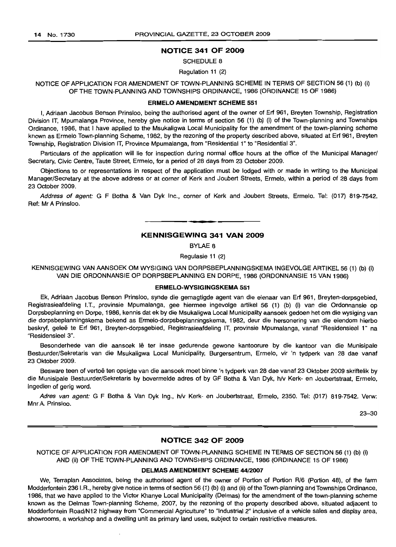## NOTICE 341 OF 2009

SCHEDULE 8

Regulation 11 (2)

NOTICE OF APPLICATION FOR AMENDMENT OF TOWN-PLANNING SCHEME IN TERMS OF SECTION 56 (1) (b) (i) OF THE TOWN-PLANNING AND TOWNSHIPS ORDINANCE, 1986 (ORDINANCE 15 OF 1986)

#### ERMELO AMENDMENT SCHEME 551

I, Adriaan Jacobus Benson Prinsloo, being the authorised agent of the owner of Erf 961, Breyten Township, Registration Division IT, Mpumalanga Province, hereby give notice in terms of section 56 (1) (b) (i) of the Town-planning and Townships Ordinance, 1986, that I have applied to the Msukaligwa Local Municipality for the amendment of the town-planning scheme known as Ermelo Town-planning Scheme, 1982, by the rezoning of the property described above, situated at Erf 961, Breyten Township, Registration Division IT, Province Mpumalanga, from "Residential 1" to "Residential 3".

Particulars of the application will lie for inspection during normal office hours at the office of the Municipal Manager/ Secretary, Civic Centre, Taute Street, Ermelo, for a period of 28 days from 23 October 2009.

Objections to or representations in respect of the application must be lodged with or made in writing to the Municipal Manager/Secretary at the above address or at corner of Kerk and Joubert Streets, Ermelo, within a period of 28 days from 23 October 2009.

Address of agent: G F Botha & Van Dyk Inc., corner of Kerk and Joubert Streets, Ermelo. Tel: (017) 819-7542. Ref: Mr A Prinsloo.

# **•** KENNISGEWING 341 VAN 2009

BYLAE 8

Regulasie 11 (2)

KENNISGEWING VAN AANSOEK OM WYSIGING VAN DORPSBEPLANNINGSKEMA INGEVOLGE ARTIKEL 56 (1) (b) (i) VAN DIE ORDONNANSIE OP DORPSBEPLANNING EN DORPE, 1986 (ORDONNANSIE 15 VAN 1986)

### ERMELO-WYSIGINGSKEMA 551

Ek, Adriaan Jacobus Benson Prinsloo, synde die gemagtigde agent van die eienaar van Erf 961, Breyten-dorpsgebied, Registrasieafdeling I.T., provinsie Mpumalanga, gee hiermee ingevolge artikel 56 (1) (b) (i) van die Ordonnansie op Dorpsbeplanning en Dorpe, 1986, kennis dat ek by die Msukaligwa Local Municipality aansoek gedoen het om die wysiging van die dorpsbeplanningskema bekend as Ermelo-dorpsbeplanningskema, 1982, deur die hersonering van die eiendom hierbo beskryf, geleë te Erf 961, Breyten-dorpsgebied, Registrasieafdeling IT, provinsie Mpumalanga, vanaf "Residensieel 1" na "ResidensieeI3".

Besonderhede van die aansoek lê ter insae gedurende gewone kantoorure by die kantoor van die Munisipale Bestuurder/Sekretaris van die Msukaligwa Local Municipality, Burgersentrum, Ermelo, vir 'n tydperk van 28 dae vanaf 23 Oktober 2009.

Besware teen of vertoë ten opsigte van die aansoek moet binne 'n tydperk van 28 dae vanaf 23 Oktober 2009 skriftelik by die Munisipale Bestuurder/Sekretaris by bovermelde adres of by GF Botha & Van Dyk, h/v Kerk- en Joubertstraat, Ermelo, ingedien of gerig word.

Adres van agent: G F Botha & Van Dyk Ing., h/v Kerk- en Joubertstraat, Ermelo, 2350. Tel: (017) 819-7542. Verw: Mnr A. Prinsloo.

23-30

# NOTICE 342 OF 2009

NOTICE OF APPLICATION FOR AMENDMENT OF TOWN-PLANNING SCHEME IN TERMS OF SECTION 56 (1) (b) (i) AND (ii) OF THE TOWN-PLANNING AND TOWNSHIPS ORDINANCE, 1986 (ORDINANCE 15 OF 1986)

#### DELMAS AMENDMENT SCHEME 44/2007

We, Terraplan Associates, being the authorised agent of the owner of Portion of Portion R/6 (Portion 48), of the farm Modderfontein 236 I.R., hereby give notice in terms of section 56 (1) (b) (i) and (ii) of the Town-planning and Townships Ordinance, 1986, that we have applied to the Victor Khanye Local Municipality (Delmas) for the amendment of the town-planning scheme known as the Delmas Town-planning Scheme, 2007, by the rezoning of the property described above, situated adjacent to Modderfontein Road/N12 highway from "Commercial Agriculture" to "Industrial 2" inclusive of a vehicle sales and display area, showrooms, a workshop and a dwelling unit as primary land uses, subject to certain restrictive measures.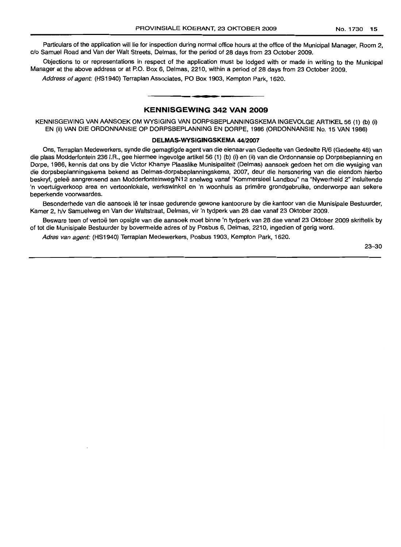Particulars of the application will lie for inspection during normal office hours at the office of the Municipal Manager, Room 2, c/o Samuel Road and Van der Walt Streets, Delmas, for the period of 28 days from 23 October 2009.

Objections to or representations in respect of the application must be lodged with or made in writing to the Municipal Manager at the above address or at P.O. Box 6, Delmas, 2210, within a period of 28 days from 23 October 2009.

**\_ a**

Address of agent: (HS1940) Terraplan Associates, PO Box 1903, Kempton Park, 1620.

# **KENNISGEWING 342 VAN 2009**

KENNISGEWING VAN AANSOEK OM WYSIGING VAN DORPSBEPLANNINGSKEMA INGEVOLGE ARTIKEL 56 (1) (b) (i) EN (ii) VAN DIE ORDONNANSIE OP DORPSBEPLANNING EN DORPE, 1986 (ORDONNANSIE No. 15 VAN 1986)

#### **DELMAS-WYSIGINGSKEMA** 44/2007

Ons, Terraplan Medewerkers, synde die gemagtigde agent van die eienaar van Gedeelte van Gedeelte Rl6 (Gedeelte 48) van die plaas Modderfontein 236 I.R., gee hiermee ingevolge artikel 56 (1) (b) (i) en (ii) van die Ordonnansie op Dorpsbeplanning en Dorpe, 1986, kennis dat ons by die Victor Khanye Plaaslike Munisipaliteit (Delmas) aansoek gedoen het om die wysiging van die dorpsbeplanningskema bekend as Delmas-dorpsbeplanningskema, 2007, deur die hersonering van die eiendom hierbo beskryf, geleë aangrensend aan Modderfonteinweg/N12 snelweg vanaf "Kommersieel Landbou" na "Nywerheid 2" insluitende 'n voertuigverkoop area en vertoonlokale, werkswinkel en 'n woonhuis as primêre grondgebruike, onderworpe aan sekere beperkende voorwaardes.

Besonderhede van die aansoek lê ter insae gedurende gewone kantoorure by die kantoor van die Munisipale Bestuurder, Kamer 2, h/v Samuelweg en Van der Waltstraat, Delmas, vir 'n tydperk van 28 dae vanaf 23 Oktober 2009.

Besware teen of vertoë ten opsigte van die aansoek moet binne 'n tydperk van 28 dae vanaf 23 Oktober 2009 skriftelik by of tot die Munisipale Bestuurder by bovermelde adres of by Posbus 6, Delmas, 2210, ingedien of gerig word.

Adres van agent: (HS1940) Terraplan Medewerkers, Posbus 1903, Kempton Park, 1620.

23-30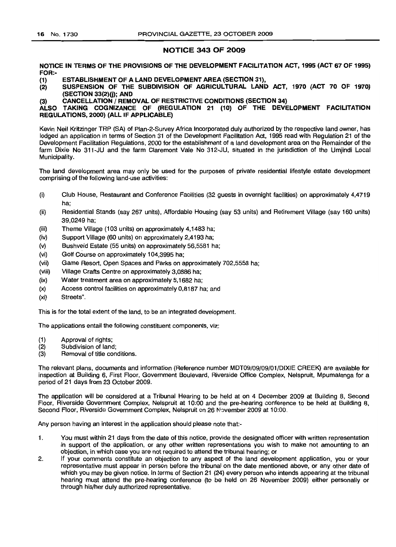# NOTICE 343 OF 2009

NOTICE IN TERMS OF THE PROVISIONS OF THE DEVELOPMENT FACILITATION ACT, 1995 (ACT 67 OF 1995) FOR:-

ESTABLISHMENT OF A LAND DEVELOPMENT AREA (SECTION 31), (1)

SUSPENSION OF THE SUBDIVISION OF AGRICULTURAL LAND ACT, 1970 (ACT 70 OF 1970) (SECTION 33(2)(j); AND (2)

(3) CANCELLATION / REMOVAL OF RESTRICTIVE CONDITIONS (SECTION 34)

ALSO TAKING COGNIZANCE OF (REGULATION 21 (10) OF THE DEVELOPMENT FACILITATION REGULATIONS, 2000) (ALL IF APPLICABLE)

Kevin Neil Kritzinger TRP (SA) of Plan-2-Survey Africa Incorporated duly authorized by the respective land owner, has lodged an application in terms of Section 31 of the Development Facilitation Act, 1995 read with Regulation 21 of the Development Facilitation Regulations, 2000 for the establishment of a land development area on the Remainder of the farm Dixie No 311-JU and the farm Claremont Vale No 312-JU, situated in the jurisdiction of the Umjindi Local Municipality.

The land development area may only be used for the purposes of private residential lifestyle estate development comprising of the following land-use activities:

- (i) Club House, Restaurant and Conference Facilities (32 guests in overnight facilities) on approximately 4,4719 ha;
- (ii) Residential Stands (say 267 units). Affordable Housing (say 53 units) and Retirement Village (say 160 units) 39,0249 ha;
- (iii) Theme Village (103 units) on approximately 4,1483 ha;
- (iv) Support Village (60 units) on approximately 2,4193 ha;
- (v) Bushveld Estate (55 units) on approximately 56,5581 ha;
- (vi) Golf Course on approximately 104,3995 ha;
- (vii) Game Resort, Open Spaces and Parks on approximately 702,5558 ha;
- (viii) Village Crafts Centre on approximately 3,0886 ha;
- (ix) Water treatment area on approximately 5,1682 ha;
- (x) Access control facilities on approximately 0,8187 ha; and
- (xi) Streets".

This is for the total extent of the land, to be an integrated development.

The applications entail the following constituent components, viz:

- (1) Approval of rights;
- (2) Subdivision of land;
- (3) Removal of title conditions.

The relevant plans, documents and information (Reference number MDT09/09/09/01/DIXIE CREEK) are available for inspection at Building 6, First Floor, Government Boulevard, Riverside Office Complex, Nelspruit, Mpumalanga for a period of 21 days from 23 October 2009.

The application will be considered at a Tribunal Hearing to be held at on 4 December 2009 at BUilding 8, Second Floor, Riverside Government Complex, Nelspruit at 10:00 and the pre-hearing conference to be held at Building 8, Second Floor, Riverside Government Complex, Nelspruit on 26 November 2009 at 10:00.

Any person having an interest in the application should please note that:-

- 1. You must within 21 days from the date of this notice, provide the designated officer with written representation in support of the application, or any other written representations you wish to make not amounting to an objection, in which case you are not required to attend the tribunal hearing; or
- 2. If your comments constitute an objection to any aspect of the land development application, you or your representative must appear in person before the tribunal on the date mentioned above, or any other date of which you may be given notice. In terms of Section 21 (24) every person who intends appearing at the tribunal hearing must attend the pre-hearing conference (to be held on 26 November 2009) either personally or through his/her duly authorized representative.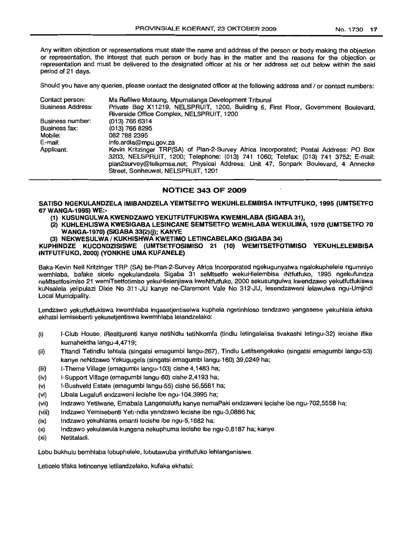Any written objection or representations must state the name and address of the person or body making the objection or representation, the interest that such person or body has in the matter and the reasons for the objection or representation and must be delivered to the designated officer at his or her address set out below within the said period of 21 days.

Should you have any queries, please contact the designated officer at the following address and / or contact numbers:

| Contact person:          | Ms Refilwe Motaung, Mpumalanga Development Tribunal                                                                                                                                                                                                                                                    |
|--------------------------|--------------------------------------------------------------------------------------------------------------------------------------------------------------------------------------------------------------------------------------------------------------------------------------------------------|
| <b>Business Address:</b> | Private Bag X11219, NELSPRUIT, 1200, Building 6, First Floor, Government Boulevard,                                                                                                                                                                                                                    |
|                          | Riverside Office Complex, NELSPRUIT, 1200                                                                                                                                                                                                                                                              |
| Business number:         | (013) 766 6314                                                                                                                                                                                                                                                                                         |
| Business fax:            | (013) 766 8295                                                                                                                                                                                                                                                                                         |
| Mobile:                  | 082 788 2395                                                                                                                                                                                                                                                                                           |
| E-mail:                  | info.ardla@mpu.gov.za                                                                                                                                                                                                                                                                                  |
| Applicant:               | Kevin Kritzinger TRP(SA) of Plan-2-Survey Africa Incorporated; Postal Address: PO Box<br>3203, NELSPRUIT, 1200; Telephone: (013) 741 1060; Telefax: (013) 741 3752; E-mail:<br>plan2survey@telkomsa.net; Physical Address: Unit 47, Sonpark Boulevard, 4 Annecke<br>Street, Sonheuwel, NELSPRUIT, 1201 |

# NOTICE 343 OF 2009

SATISO NGEKULANDZELA IMIBANDZELA YEMTSETFO WEKUHLELEMBISA INTFUTFUKO, 1995 (UMTSETFO 67 WANGA-1995) WE:-

- (1) KUSUNGULWA KWENDZAWO YEKUTFUTFUKISWA KWEMHLABA (SIGABA 31),
- (2) KUHLEHLlSWA KWESIGABA LESINCANE SEMTSETFO WEMHLABA WEKLILlMA, 1970 (UMTSETFO 70 WANGA-1970) (SIGABA 33(2)(j); KANYE
- (3) NEKWESULWA / KUKHISHWA KWETIMO LETINCABELAKO (SIGABA 34)

KUPHINDZE KUCONDZISISWE (UMTSETFOSIMISO 21 (10) WEMITSETFOTIMISO YEKUHLELEMBISA INTFUTFUKO, 2000) (YONKHE UMA KUFANELE)

Baka-Kevin Neil Kritzinger TRP (SA) be-Plan-2-Survey Africa Incorporated ngekugunyatwa ngaJokuphelele ngumniyo wemhlaba, bafake sicelo ngekulandzela Sigaba 31 seMtsetfo wekuHlelembisa iNtfutfuko, 1995 ngekufundza neMtsetfosimiso 21 wemiTsetfotimiso yekuHlelenjiswa kweNtfutfuko, 2000 sekusungulwa kwendzawo yekutfutfukiswa kuNsalela yelipulazi Dixie No 311-JU kanye ne-Claremont Vale No 312-JU, lesendzaweni lelawulwa ngu-Umjindi Local Municipality.

Lendzawo yekutfutfukiswa kwemhlaba ingasetjentiselwa kuphela ngetinhloso tendzawo yangasese yekuhlala lefaka ekhatsi lemisebenti yekusetjentiswa kwemhlaba lelandzelako:

- (i) I-Club House, iResitjurenti kanye netiNdlu tetiNkomfa (tindlu letingalalisa tivakashi letingu-32) lecishe ifike kumahektha langu-4,4719;
- (ii) Titandi TetindJu tehlala (singatsi emagumbi langu-267), Tindlu Letitsengekako (singatsi emagumbi langu-53) kanye neNdzawo Yekugugela (singatsi emagumbi langu-160) 39,0249 ha;
- (iii) I-Theme Village (emagumbi langu-103) cishe 4,1483 ha;
- (iv) I-Support Village (emagumbi langu-60) cishe 2,4193 ha;
- (v) I-Bushveld Estate (emagumbi langu-55) cishe 56,5581 ha;
- (vi) Libala Legalufi endzaweni lecishe ibe ngu-104,3995 ha;
- (vii) Indzawo Yetilwane, Emabala Langenalutfu kanye nemaPaki endzaweni lecishe ibe ngu-702,5558 ha;
- (viii) Indzawo Yemisebenti Yetr-ndla yendzawo lecishe ibe ngu-3,0886 ha;
- (ix) Indzawo yekuhlanta emanti lecishe ibe ngu-5,1682 ha;
- (x) Indzawo yekulawula kungena nekuphuma lecishe ibe ngu-O,8187 ha; kanye
- (xi) Netitaladi.

Lobu bukhulu bemhlaba lobuphelele, lobutawuba yintfutfuko lehlanganisiwe.

Leticelo tifaka letincenye letilandzelako, kufaka ekhatsi: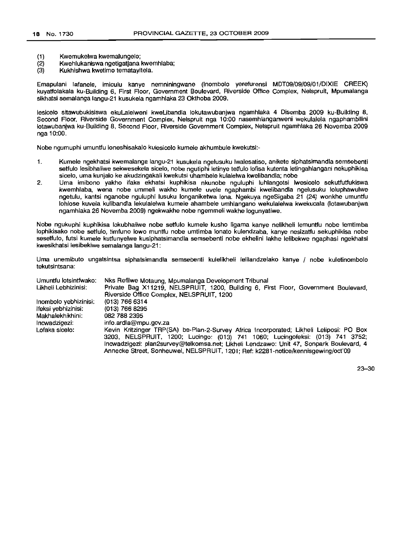- (1) Kwemukelwa kwemalungelo;
- (2) Kwehlukaniswa ngetigatjana kwemhlaba;<br>(3) Kukhishwa kwetimo tematavitela.
- Kukhishwa kwetimo tematayitela.

Emapulani lafanele, imiculu kanye nemniningwane (Inombolo yerefurensi MDT09/09/09/01/DIXIE CREEK) kuyatfolakala ku-Building 6, First Floor, Government Boulevard, Riverside Office Complex, Nelspruit, Mpumalanga sikhatsi semalanga langu-21 kusukela ngamhlaka 23 Okthoba 2009.

lesicelo sitawubukisiswa ekuLalelweni kweLibandla lokutawubanjwa ngamhlaka 4 Disemba 2009 ku-Building 8, Second Floor, Riverside Government Complex, Nelspruit nga 10:00 nasemhlanganweni wekulalela ngaphambilini lotawubanjwa ku-Building 8, Second Floor, Riverside Government Complex, Nelspruit ngamhlaka 26 Novemba 2009 nga 10:00.

Nobe ngumuphi umuntfu loneshisakalo kulesicelo kumele akhumbule kwekutsi:-

- 1. Kumele ngekhatsi kwemalanga langu-21 kusukela ngelusuku Iwalesatiso, anikete siphatsimandla semsebenti setfulo lesibhaliwe sekwesekela sicelo, nobe ngutiphi letinye tetfulo lofisa kutenta letingahlangani nekuphikisa sicelo, uma kunjalo ke akudzingakali kwekutsi uhambele kulalelwa kwelibandla; nobe
- 2. Uma imibono yakho ifaka ekhatsi kuphikisa nkunobe nguluphi luhlangotsi Iwesicelo sekutfutfukiswa kwemhlaba, wena nobe ummeli wakho kumele uvele ngaphambi kwelibandla ngelusuku loluphawulwe ngetulu, kantsi nganobe nguluphi lusuku longaniketwa lana. Ngekuya ngeSigaba 21 (24) wonkhe umuntfu lohlose kuvela kulibandla lekulalelwa kumele ahambele umhlangano wekulalelwa kwekucala (Iotawubanjwa ngamhlaka 26 Novemba 2009) ngekwakhe nobe ngemmeli wakhe logunyatiwe.

Nobe ngukuphi kuphikisa lokubhaliwe nobe setfulo kumele kusho Iigama kanye nelikheli lemuntfu nobe lemtimba lophikisako nobe setfulo, timfuno Iowa muntfu nobe umtimba lonato kulendzaba, kanye nesizatfu sekuphikisa nobe sesetfulo, futsi kumele kutfunyelwe kusiphatsimandla semsebenti nobe ekhelini lakhe lelibekwe ngaphasi ngekhatsi kwesikhatsi lesibekiwe semalanga langu-21:

Uma unemibuto ungatsintsa siphatsimandla semsebenti kulelikheli lelilandzelako kanye / nobe kuletinombolo tekutsintsana:

| Umuntfu lotsintfwako: | Nks Refilwe Motaung, Mpumalanga Development Tribunal                                    |
|-----------------------|-----------------------------------------------------------------------------------------|
| Likheli Lebhizinisi:  | Private Bag X11219, NELSPRUIT, 1200, Building 6, First Floor, Government Boulevard,     |
|                       | Riverside Office Complex, NELSPRUIT, 1200                                               |
| Inombolo yebhizinisi: | $(013)$ 766 6314                                                                        |
| lfeksi yebhizinisi:   | (013) 766 8295                                                                          |
| Makhalekhikhini:      | 082 788 2395                                                                            |
| Incwadzigezi:         | info.ardla@mpu.gov.za                                                                   |
| Lofaka sicelo:        | Kevin Kritzinger TRP(SA) be-Plan-2-Survey Africa Incorporated; Likheli Leliposi: PO Box |
|                       | 3203, NELSPRUIT, 1200; Lucingo: (013) 741 1060; Lucingofeksi: (013) 741 3752;           |
|                       | Incwadzigezi: plan2survey@telkomsa.net: Likheli Lendzawo: Unit 47. Sonpark Boulevard, 4 |
|                       | Annecke Street, Sonheuwel, NELSPRUIT, 1201; Ref: k2281-notice/kennisgewing/oct'09       |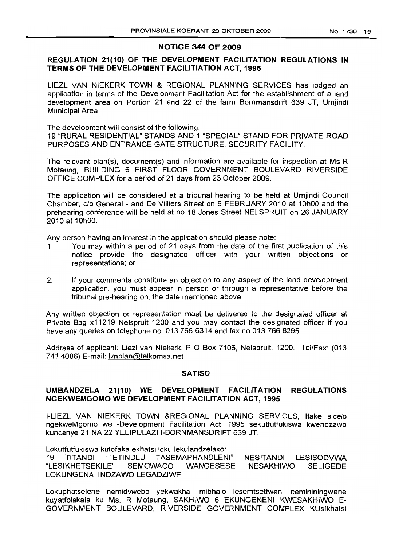# NOTICE 344 OF 2009

# REGULATION 21(10) OF THE DEVELOPMENT FACILITATION REGULATIONS IN TERMS OF THE DEVELOPMENT FACILITIATION ACT, 1995

L1EZL VAN NIEKERK TOWN & REGIONAL PLANNING SERVICES has lodged an application in terms of the Development Facilitation Act for the establishment of a land development area on Portion 21 and 22 of the farm Bornmansdrift 639 JT. Umiindi Municipal Area.

The development will consist of the following: 19 "RURAL RESIDENTIAL" STANDS AND 1 "SPECIAL" STAND FOR PRIVATE ROAD PURPOSES AND ENTRANCE GATE STRUCTURE, SECURITY FACILITY.

The relevant plan(s), document(s) and information are available for inspection at Ms R Motaung, BUILDING 6 FIRST FLOOR GOVERNMENT BOULEVARD RIVERSIDE OFFICE COMPLEX for a period of 21 days from 23 October 2009.

The application will be considered at a tribunal hearing to be held at Umjindi Council Chamber, c/o General - and De Villiers Street on 9 FEBRUARY 2010 at 10hOO and the prehearing conference will be held at no 18 Jones Street NELSPRUIT on 26 JANUARY 2010 at 10hOO.

Any person having an interest in the application should please note:

- 1. You may within a period of 21 days from the date of the first publication of this notice provide the designated officer with your written objections or representations; or
- 2. If your comments constitute an objection to any aspect of the land development application, you must appear in person or through a representative before the tribunal pre-hearing on, the date mentioned above.

Any written objection or representation must be delivered to the designated officer at Private Bag x11219 Nelspruit 1200 and you may contact the designated officer if you have any queries on telephone no. 013 766 6314 and fax no.013 766 8295

Address of applicant: Liezl van Niekerk, P O Box 7106, Nelspruit, 1200. Tel/Fax: (013 741 4086) E-mail: Ivnplan@telkomsa.net

# **SATISO**

# UMBANDZELA 21(10) WE DEVELOPMENT FACILITATION REGULATIONS NGEKWEMGOMO WE DEVELOPMENT FACILITATION ACT, 1995

I-LIEZL VAN NIEKERK TOWN &REGIONAL PLANNING SERVICES, Ifake sicelo ngekwelVlgomo we -Development Facilitation Act, 1995 sekutfutfukiswa kwendzawo kuncenye 21 NA 22 YELIPULAZI I-BORNMANSDRIFT 639 JT.

Lokutfutfukiswa kutofaka ekhatsi loku lekulandzelako:

19 T/TANDI "TETINDLU TASEMAPHANDLENI" NESITANDI LESISODVWA "LESIKHETSEKILE" SEMGWACO WANGESESE NESAKH1WO SELIGEDE LOKUNGENA, INDZAWO LEGADZIWE.

Lokuphatselene nemidvwebo yekwakha, mibhalo lesemtsetfweni nemininingwane kuyatfolakala ku Ms. R Motaung, SAKHIWO 6 EKUNGENENI KWESAKHIWO E-GOVERNMENT BOULEVARD, RIVERSIDE GOVERNMENT COMPLEX KUsikhatsi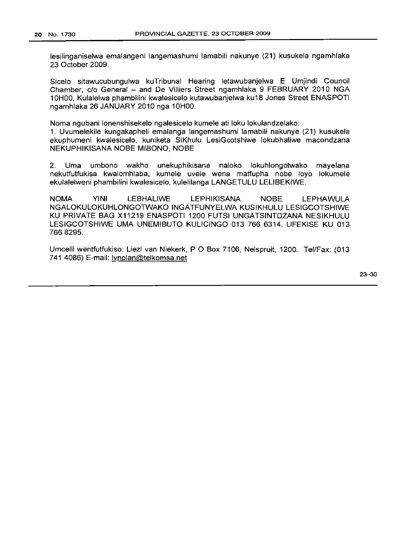lesilinganiselwa emalangeni langemashumi lamabili nakunye (21) kusukela ngamhlaka 23 October 2009.

Sicelo sitawucubungulwa kuTribunal Hearing letawubanjelwa E Umjindi Council Chamber, c/o General - and De Villiers Street ngamhlaka 9 FEBRUARY 2010 NGA 10HOO, Kulalelwa phambilini kwalesicelo kutawubanjelwa ku18 Jones Street ENASPOTI ngamhlaka 26 JANUARY 2010 nga 10HOO.

Noma ngubani lonenshisekelo ngalesicelo kumele ati loku lokulandzelako:

1. Uvumelekile kungakapheli emalanga langemashumi lamabili nakunye (21) kusukela ekuphumeni kwalesicelo, kuniketa SiKhulu LesiGcotshiwe lokubhaliwe macondzana NEKUPHIKISANA NOBE MIBONO, NOBE

2. Uma umbono wakho unekuphikisana naloko lokuhlongotwako mayelana nekutfutfukisa kwalomhlaba, kumele uvele wena matfupha nobe loyo lokumele ekulalelweni phambilini kwalesicelo, kulelilanga LANGETULU LELIBEKIWE.

NOMA YINI LEBHALIWE LEPHIKISANA NOBE LEPHAWULA NGALOKULOKUHLONGOTWAKO INGATFUNYELWA KUSIKHULU LESIGCOTSHIWE KU PRIVATE BAG X11219 ENASPOTI 1200 FUTSI UNGATSINTDZANA NESIKHULU LESIGCOTSHIWE UMA UNEMIBUTO KULICINGO 013 766 6314, UFEKISE KU 013 7668295.

Umcelli wentfutfukiso: Liezl van Niekerk, POBox 7106, Nelspruit, 1200. Tel/Fax: (013 741 4086) E-mail: Ivnplan@telkomsa.net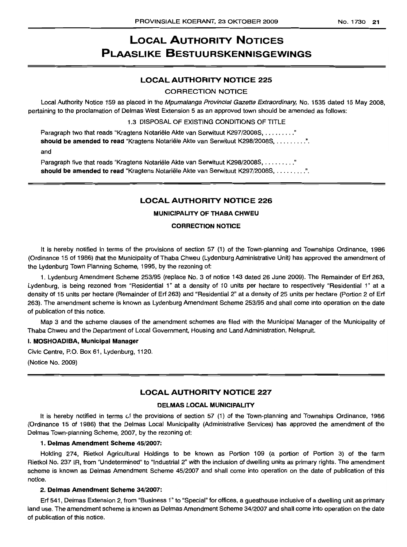# LOCAL AUTHORITY NOTICES PLAASLIKE BESTUURSKENNISGEWINGS

# LOCAL AUTHORITY NOTICE 225

#### CORRECTION NOTICE

Local Authority Notice 159 as placed in the Mpumalanga Provincial Gazette Extraordinary, No. 1535 dated 15 May 2008, pertaining to the proclamation of Delmas West Extension 5 as an approved town should be amended as follows:

1.3 DISPOSAL OF EXISTING CONDITIONS OF TITLE

Paragraph two that reads "Kragtens Notariële Akte van Serwituut K297/2008S, ........." should be amended to read "Kragtens Notariële Akte van Serwituut K298/2008S, .........". and

Paragraph five that reads "Kragtens Notariële Akte van Serwituut K298/2008S, ........." should be amended to read "Kragtens Notariële Akte van Serwituut K297/2008S, .........".

# LOCAL AUTHORITY NOTICE 226

#### MUNICIPALITY OF THABA CHWEU

#### CORRECTION NOTICE

It is hereby notified in terms of the provisions of section 57 (1) of the Town-planning and Townships Ordinance, 1986 (Ordinance 15 of 1986) that the Municipality of Thaba Chweu (Lydenburg Administrative Unit) has approved the amendment of the Lydenburg Town Planning Scheme, 1995, by the rezoning of:

1. Lydenburg Amendment Scheme 253/95 (replace No. 3 of notice 143 dated 26 June 2009). The Remainder of Erf 263, Lydenburg, is being rezoned from "Residential 1" at a density of 10 units per hectare to respectively "Residential 1" at a density of 15 units per hectare (Remainder of Erf 263) and "Residential 2" at a density of 25 units per hectare (Portion 2 of Erf 263). The amendment scheme is known as Lydenburg Amendment Scheme 253/95 and shall come into operation on the date of publication of this notice.

Map 3 and the scheme clauses of the amendment schemes are filed with the Municipal Manager of the Municipality of Thaba Chweu and the Department of Local Government, Housing and Land Administration, Nelspruit.

#### I. MOSHOADIBA, Municipal Manager

Civic Centre, P.O. Box 61, Lydenburg, 1120.

(Notice No. 2009)

# LOCAL AUTHORITY NOTICE 227

#### DELMAS LOCAL MUNICIPALITY

It is hereby notified in terms of the provisions of section 57 (1) of the Town-planning and Townships Ordinance, 1986 (Ordinance 15 of 1986) that the Delmas Local Municipality (Administrative Services) has approved the amendment of the Delmas Town-planning Scheme, 2007, by the rezoning of:

#### 1. Delmas Amendment Scheme 45/2007:

Holding 274, Rietkol Agricultural Holdings to be known as Portion 109 (a portion of Portion 3) of the farm Rietkol No. 237 JR, from "Undetermined" to "Industrial 2" with the inclusion of dwelling units as primary rights. The amendment scheme is known as Delmas Amendment Scheme 45/2007 and shall come into operation on the date of publication of this notice.

#### 2. Delmas Amendment Scheme 34/2007:

Erf 541, Delmas Extension 2, from "Business 1" to "Special" for offices, a guesthouse inclusive of a dwelling unit as primary land use. The amendment scheme is known as Delmas Amendment Scheme 34/2007 and shall come into operation on the date of publication of this notice.